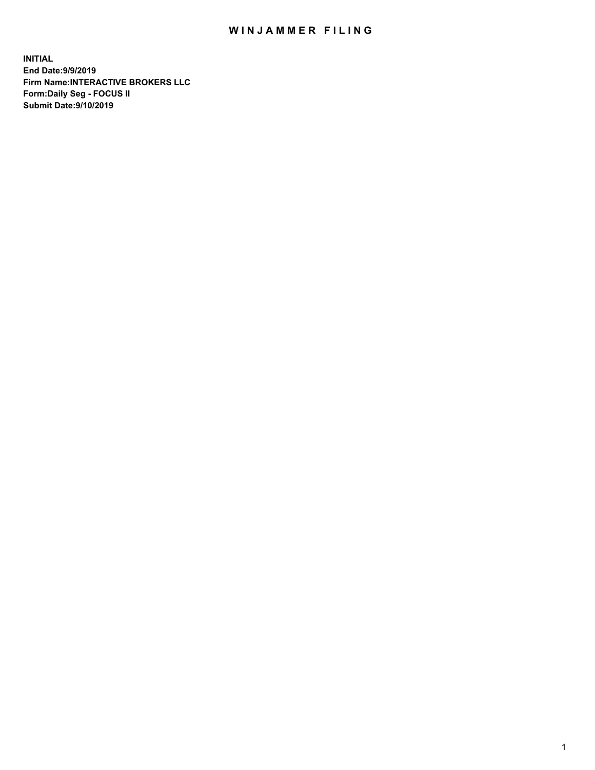## WIN JAMMER FILING

**INITIAL End Date:9/9/2019 Firm Name:INTERACTIVE BROKERS LLC Form:Daily Seg - FOCUS II Submit Date:9/10/2019**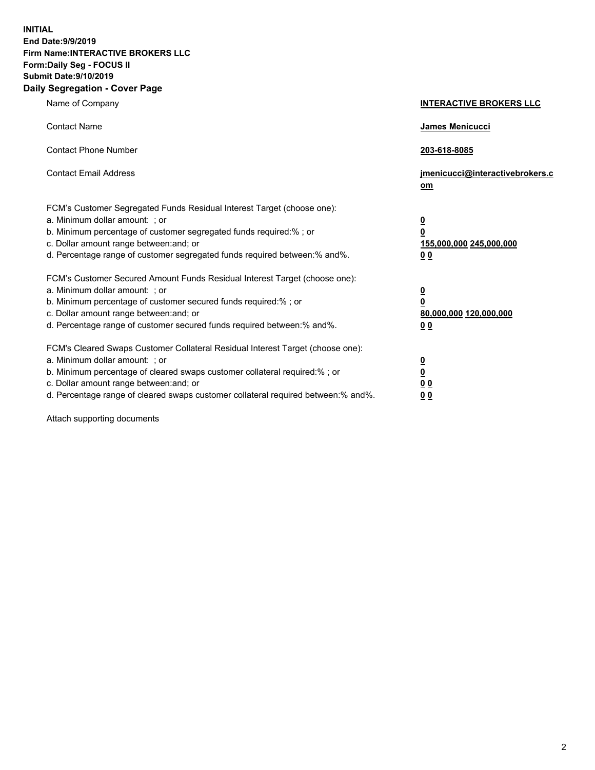**INITIAL End Date:9/9/2019 Firm Name:INTERACTIVE BROKERS LLC Form:Daily Seg - FOCUS II Submit Date:9/10/2019 Daily Segregation - Cover Page**

| Name of Company                                                                                                                                                                                                                                                                                                                | <b>INTERACTIVE BROKERS LLC</b>                                                                 |
|--------------------------------------------------------------------------------------------------------------------------------------------------------------------------------------------------------------------------------------------------------------------------------------------------------------------------------|------------------------------------------------------------------------------------------------|
| <b>Contact Name</b>                                                                                                                                                                                                                                                                                                            | <b>James Menicucci</b>                                                                         |
| <b>Contact Phone Number</b>                                                                                                                                                                                                                                                                                                    | 203-618-8085                                                                                   |
| <b>Contact Email Address</b>                                                                                                                                                                                                                                                                                                   | jmenicucci@interactivebrokers.c<br>om                                                          |
| FCM's Customer Segregated Funds Residual Interest Target (choose one):<br>a. Minimum dollar amount: ; or<br>b. Minimum percentage of customer segregated funds required:% ; or<br>c. Dollar amount range between: and; or<br>d. Percentage range of customer segregated funds required between:% and%.                         | $\overline{\mathbf{0}}$<br>$\overline{\mathbf{0}}$<br>155,000,000 245,000,000<br>00            |
| FCM's Customer Secured Amount Funds Residual Interest Target (choose one):<br>a. Minimum dollar amount: ; or<br>b. Minimum percentage of customer secured funds required:%; or<br>c. Dollar amount range between: and; or<br>d. Percentage range of customer secured funds required between:% and%.                            | $\overline{\mathbf{0}}$<br>$\overline{\mathbf{0}}$<br>80,000,000 120,000,000<br>0 <sub>0</sub> |
| FCM's Cleared Swaps Customer Collateral Residual Interest Target (choose one):<br>a. Minimum dollar amount: ; or<br>b. Minimum percentage of cleared swaps customer collateral required:% ; or<br>c. Dollar amount range between: and; or<br>d. Percentage range of cleared swaps customer collateral required between:% and%. | $\overline{\mathbf{0}}$<br><u>0</u><br>0 <sub>0</sub><br>00                                    |

Attach supporting documents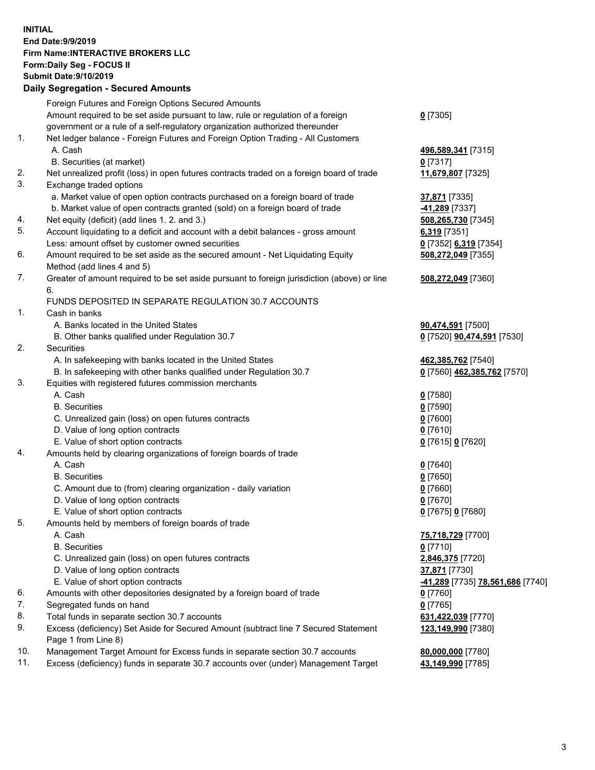## **INITIAL End Date:9/9/2019 Firm Name:INTERACTIVE BROKERS LLC Form:Daily Seg - FOCUS II Submit Date:9/10/2019 Daily Segregation - Secured Amounts**

|     | Daily Əeyleyatıoli - Əeculeu Allıoulits                                                     |                                  |
|-----|---------------------------------------------------------------------------------------------|----------------------------------|
|     | Foreign Futures and Foreign Options Secured Amounts                                         |                                  |
|     | Amount required to be set aside pursuant to law, rule or regulation of a foreign            | $0$ [7305]                       |
|     | government or a rule of a self-regulatory organization authorized thereunder                |                                  |
| 1.  | Net ledger balance - Foreign Futures and Foreign Option Trading - All Customers             |                                  |
|     | A. Cash                                                                                     | 496,589,341 [7315]               |
|     | B. Securities (at market)                                                                   | $0$ [7317]                       |
| 2.  | Net unrealized profit (loss) in open futures contracts traded on a foreign board of trade   | 11,679,807 [7325]                |
| 3.  | Exchange traded options                                                                     |                                  |
|     | a. Market value of open option contracts purchased on a foreign board of trade              | 37,871 [7335]                    |
|     | b. Market value of open contracts granted (sold) on a foreign board of trade                | -41,289 [7337]                   |
| 4.  | Net equity (deficit) (add lines 1. 2. and 3.)                                               | 508,265,730 [7345]               |
| 5.  | Account liquidating to a deficit and account with a debit balances - gross amount           | 6,319 [7351]                     |
|     | Less: amount offset by customer owned securities                                            | 0 [7352] 6,319 [7354]            |
| 6.  | Amount required to be set aside as the secured amount - Net Liquidating Equity              | 508,272,049 [7355]               |
|     | Method (add lines 4 and 5)                                                                  |                                  |
| 7.  | Greater of amount required to be set aside pursuant to foreign jurisdiction (above) or line | 508,272,049 [7360]               |
|     | 6.                                                                                          |                                  |
| 1.  | FUNDS DEPOSITED IN SEPARATE REGULATION 30.7 ACCOUNTS<br>Cash in banks                       |                                  |
|     |                                                                                             |                                  |
|     | A. Banks located in the United States                                                       | 90,474,591 [7500]                |
| 2.  | B. Other banks qualified under Regulation 30.7<br><b>Securities</b>                         | 0 [7520] 90,474,591 [7530]       |
|     | A. In safekeeping with banks located in the United States                                   | 462,385,762 [7540]               |
|     | B. In safekeeping with other banks qualified under Regulation 30.7                          | 0 [7560] 462,385,762 [7570]      |
| 3.  | Equities with registered futures commission merchants                                       |                                  |
|     | A. Cash                                                                                     | $0$ [7580]                       |
|     | <b>B.</b> Securities                                                                        | $0$ [7590]                       |
|     | C. Unrealized gain (loss) on open futures contracts                                         | $0$ [7600]                       |
|     | D. Value of long option contracts                                                           | $0$ [7610]                       |
|     | E. Value of short option contracts                                                          | 0 [7615] 0 [7620]                |
| 4.  | Amounts held by clearing organizations of foreign boards of trade                           |                                  |
|     | A. Cash                                                                                     | $0$ [7640]                       |
|     | <b>B.</b> Securities                                                                        | $0$ [7650]                       |
|     | C. Amount due to (from) clearing organization - daily variation                             | $0$ [7660]                       |
|     | D. Value of long option contracts                                                           | 0 [7670]                         |
|     | E. Value of short option contracts                                                          | 0 [7675] 0 [7680]                |
| 5.  | Amounts held by members of foreign boards of trade                                          |                                  |
|     | A. Cash                                                                                     | 75,718,729 [7700]                |
|     | <b>B.</b> Securities                                                                        | $0$ [7710]                       |
|     | C. Unrealized gain (loss) on open futures contracts                                         | 2,846,375 [7720]                 |
|     | D. Value of long option contracts                                                           | 37,871 [7730]                    |
|     | E. Value of short option contracts                                                          | -41,289 [7735] 78,561,686 [7740] |
| 6.  | Amounts with other depositories designated by a foreign board of trade                      | 0 [7760]                         |
| 7.  | Segregated funds on hand                                                                    | $0$ [7765]                       |
| 8.  | Total funds in separate section 30.7 accounts                                               | 631,422,039 [7770]               |
| 9.  | Excess (deficiency) Set Aside for Secured Amount (subtract line 7 Secured Statement         | 123,149,990 [7380]               |
|     | Page 1 from Line 8)                                                                         |                                  |
| 10. | Management Target Amount for Excess funds in separate section 30.7 accounts                 | 80,000,000 [7780]                |
| 11. | Excess (deficiency) funds in separate 30.7 accounts over (under) Management Target          | 43,149,990 [7785]                |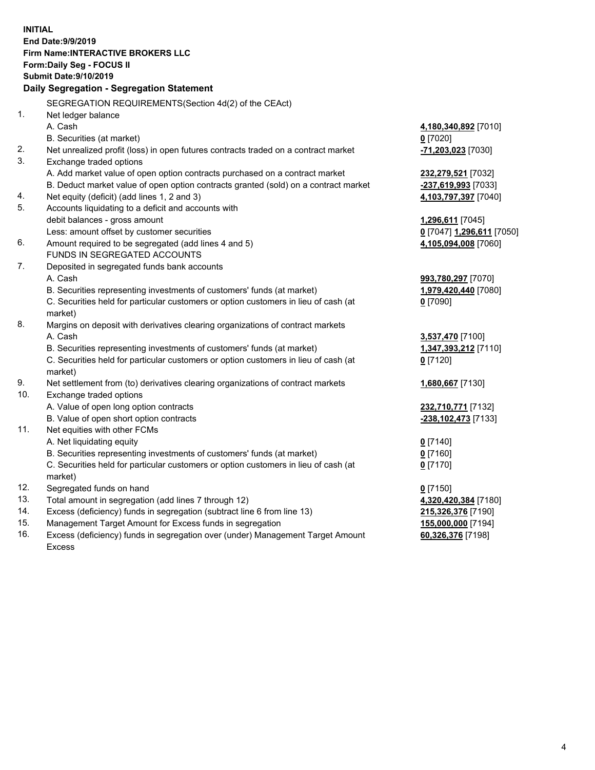**INITIAL End Date:9/9/2019 Firm Name:INTERACTIVE BROKERS LLC Form:Daily Seg - FOCUS II Submit Date:9/10/2019 Daily Segregation - Segregation Statement** SEGREGATION REQUIREMENTS(Section 4d(2) of the CEAct) 1. Net ledger balance A. Cash **4,180,340,892** [7010] B. Securities (at market) **0** [7020] 2. Net unrealized profit (loss) in open futures contracts traded on a contract market **-71,203,023** [7030] 3. Exchange traded options A. Add market value of open option contracts purchased on a contract market **232,279,521** [7032] B. Deduct market value of open option contracts granted (sold) on a contract market **-237,619,993** [7033] 4. Net equity (deficit) (add lines 1, 2 and 3) **4,103,797,397** [7040] 5. Accounts liquidating to a deficit and accounts with debit balances - gross amount **1,296,611** [7045] Less: amount offset by customer securities **0** [7047] **1,296,611** [7050] 6. Amount required to be segregated (add lines 4 and 5) **4,105,094,008** [7060] FUNDS IN SEGREGATED ACCOUNTS 7. Deposited in segregated funds bank accounts A. Cash **993,780,297** [7070] B. Securities representing investments of customers' funds (at market) **1,979,420,440** [7080] C. Securities held for particular customers or option customers in lieu of cash (at market) **0** [7090] 8. Margins on deposit with derivatives clearing organizations of contract markets A. Cash **3,537,470** [7100] B. Securities representing investments of customers' funds (at market) **1,347,393,212** [7110] C. Securities held for particular customers or option customers in lieu of cash (at market) **0** [7120] 9. Net settlement from (to) derivatives clearing organizations of contract markets **1,680,667** [7130] 10. Exchange traded options A. Value of open long option contracts **232,710,771** [7132] B. Value of open short option contracts **-238,102,473** [7133] 11. Net equities with other FCMs A. Net liquidating equity **0** [7140] B. Securities representing investments of customers' funds (at market) **0** [7160] C. Securities held for particular customers or option customers in lieu of cash (at market) **0** [7170] 12. Segregated funds on hand **0** [7150] 13. Total amount in segregation (add lines 7 through 12) **4,320,420,384** [7180] 14. Excess (deficiency) funds in segregation (subtract line 6 from line 13) **215,326,376** [7190] 15. Management Target Amount for Excess funds in segregation **155,000,000** [7194]

16. Excess (deficiency) funds in segregation over (under) Management Target Amount Excess

**60,326,376** [7198]